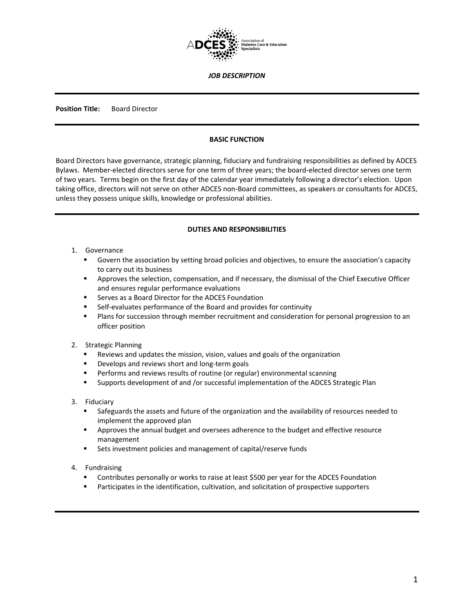

*JOB DESCRIPTION*

**Position Title:** Board Director

#### **BASIC FUNCTION**

Board Directors have governance, strategic planning, fiduciary and fundraising responsibilities as defined by ADCES Bylaws. Member-elected directors serve for one term of three years; the board-elected director serves one term of two years. Terms begin on the first day of the calendar year immediately following a director's election. Upon taking office, directors will not serve on other ADCES non-Board committees, as speakers or consultants for ADCES, unless they possess unique skills, knowledge or professional abilities.

#### **DUTIES AND RESPONSIBILITIES**

- 1. Governance
	- Govern the association by setting broad policies and objectives, to ensure the association's capacity to carry out its business
	- **Approves the selection, compensation, and if necessary, the dismissal of the Chief Executive Officer** and ensures regular performance evaluations
	- Serves as a Board Director for the ADCES Foundation
	- Self-evaluates performance of the Board and provides for continuity
	- **Plans for succession through member recruitment and consideration for personal progression to an** officer position
- 2. Strategic Planning
	- Reviews and updates the mission, vision, values and goals of the organization
	- **Develops and reviews short and long-term goals**
	- **Performs and reviews results of routine (or regular) environmental scanning**
	- Supports development of and /or successful implementation of the ADCES Strategic Plan
- 3. Fiduciary
	- **Safeguards the assets and future of the organization and the availability of resources needed to** implement the approved plan
	- **Approves the annual budget and oversees adherence to the budget and effective resource** management
	- Sets investment policies and management of capital/reserve funds
- 4. Fundraising
	- Contributes personally or works to raise at least \$500 per year for the ADCES Foundation
	- Participates in the identification, cultivation, and solicitation of prospective supporters